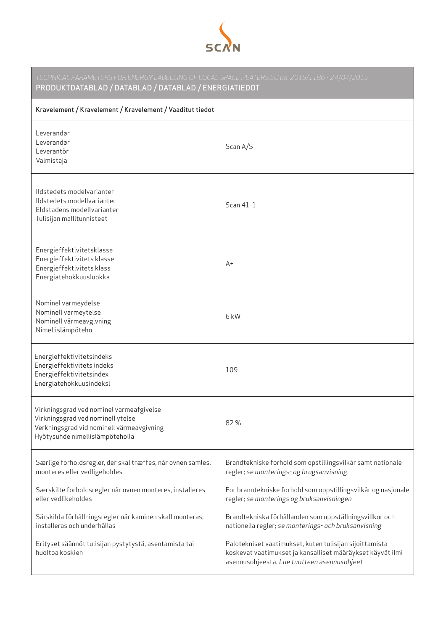

| TECHNICAL PARAMETERS FOR ENERGY LABELLING OF LOCAL SPACE HEATERS EU no. 2015/1186 - 24/04/2015<br>PRODUKTDATABLAD / DATABLAD / DATABLAD / ENERGIATIEDOT       |                                                                                                                                                                      |  |
|---------------------------------------------------------------------------------------------------------------------------------------------------------------|----------------------------------------------------------------------------------------------------------------------------------------------------------------------|--|
| Kravelement / Kravelement / Kravelement / Vaaditut tiedot                                                                                                     |                                                                                                                                                                      |  |
| Leverandør<br>Leverandør<br>Leverantör<br>Valmistaja                                                                                                          | Scan A/S                                                                                                                                                             |  |
| Ildstedets modelvarianter<br>Ildstedets modellvarianter<br>Eldstadens modellvarianter<br>Tulisijan mallitunnisteet                                            | Scan 41-1                                                                                                                                                            |  |
| Energieffektivitetsklasse<br>Energieffektivitets klasse<br>Energieffektivitets klass<br>Energiatehokkuusluokka                                                | $A+$                                                                                                                                                                 |  |
| Nominel varmeydelse<br>Nominell varmeytelse<br>Nominell värmeavgivning<br>Nimellislämpöteho                                                                   | 6 kW                                                                                                                                                                 |  |
| Energieffektivitetsindeks<br>Energieffektivitets indeks<br>Energieffektivitetsindex<br>Energiatehokkuusindeksi                                                | 109                                                                                                                                                                  |  |
| Virkningsgrad ved nominel varmeafgivelse<br>Virkningsgrad ved nominell ytelse<br>Verkningsgrad vid nominell värmeavgivning<br>Hyötysuhde nimellislämpöteholla | 82%                                                                                                                                                                  |  |
| Særlige forholdsregler, der skal træffes, når ovnen samles,<br>monteres eller vedligeholdes                                                                   | Brandtekniske forhold som opstillingsvilkår samt nationale<br>regler; se monterings- og brugsanvisning                                                               |  |
| Særskilte forholdsregler når ovnen monteres, installeres<br>eller vedlikeholdes                                                                               | For branntekniske forhold som oppstillingsvilkår og nasjonale<br>regler; se monterings og bruksanvisningen                                                           |  |
| Särskilda förhållningsregler när kaminen skall monteras,<br>installeras och underhållas                                                                       | Brandtekniska förhållanden som uppställningsvillkor och<br>nationella regler; se monterings- och bruksanvisning                                                      |  |
| Erityset säännöt tulisijan pystytystä, asentamista tai<br>huoltoa koskien                                                                                     | Palotekniset vaatimukset, kuten tulisijan sijoittamista<br>koskevat vaatimukset ja kansalliset määräykset käyvät ilmi<br>asennusohjeesta. Lue tuotteen asennusohjeet |  |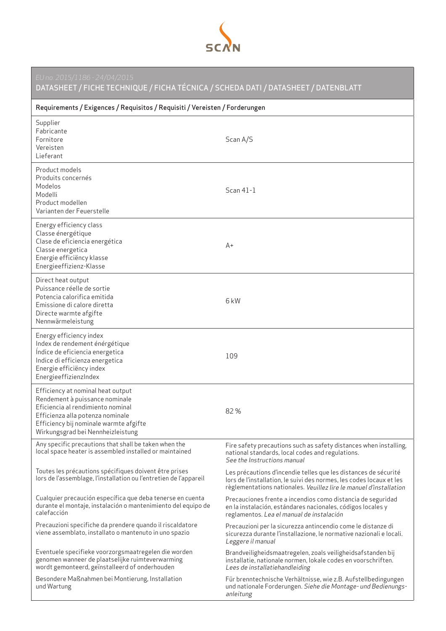

DATASHEET / FICHE TECHNIQUE / FICHA TÉCNICA / SCHEDA DATI / DATASHEET / DATENBLATT

| Requirements / Exigences / Requisitos / Requisiti / Vereisten / Forderungen                                                                                                                                                 |                                                                                                                                                                                                               |  |
|-----------------------------------------------------------------------------------------------------------------------------------------------------------------------------------------------------------------------------|---------------------------------------------------------------------------------------------------------------------------------------------------------------------------------------------------------------|--|
| Supplier<br>Fabricante<br>Fornitore<br>Vereisten<br>Lieferant                                                                                                                                                               | Scan A/S                                                                                                                                                                                                      |  |
| Product models<br>Produits concernés<br>Modelos<br>Modelli<br>Product modellen<br>Varianten der Feuerstelle                                                                                                                 | Scan 41-1                                                                                                                                                                                                     |  |
| Energy efficiency class<br>Classe énergétique<br>Clase de eficiencia energética<br>Classe energetica<br>Energie efficiëncy klasse<br>Energieeffizienz-Klasse                                                                | $A+$                                                                                                                                                                                                          |  |
| Direct heat output<br>Puissance réelle de sortie<br>Potencia calorifica emitida<br>Emissione di calore diretta<br>Directe warmte afgifte<br>Nennwärmeleistung                                                               | 6 <sub>k</sub> W                                                                                                                                                                                              |  |
| Energy efficiency index<br>Index de rendement énérgétique<br>Indice de eficiencia energetica<br>Indice di efficienza energetica<br>Energie efficiëncy index<br>EnergieeffizienzIndex                                        | 109                                                                                                                                                                                                           |  |
| Efficiency at nominal heat output<br>Rendement à puissance nominale<br>Eficiencia al rendimiento nominal<br>Efficienza alla potenza nominale<br>Efficiency bij nominale warmte afgifte<br>Wirkungsgrad bei Nennheizleistung | 82%                                                                                                                                                                                                           |  |
| Any specific precautions that shall be taken when the<br>local space heater is assembled installed or maintained                                                                                                            | Fire safety precautions such as safety distances when installing,<br>national standards, local codes and regulations.<br>See the Instructions manual                                                          |  |
| Toutes les précautions spécifiques doivent être prises<br>lors de l'assemblage, l'installation ou l'entretien de l'appareil                                                                                                 | Les précautions d'incendie telles que les distances de sécurité<br>lors de l'installation, le suivi des normes, les codes locaux et les<br>règlementations nationales. Veuillez lire le manuel d'installation |  |
| Cualquier precaución específica que deba tenerse en cuenta<br>durante el montaje, instalación o mantenimiento del equipo de<br>calefacción                                                                                  | Precauciones frente a incendios como distancia de seguridad<br>en la instalación, estándares nacionales, códigos locales y<br>reglamentos. Lea el manual de instalación                                       |  |
| Precauzioni specifiche da prendere quando il riscaldatore<br>viene assemblato, installato o mantenuto in uno spazio                                                                                                         | Precauzioni per la sicurezza antincendio come le distanze di<br>sicurezza durante l'installazione, le normative nazionali e locali.<br>Leggere il manual                                                      |  |
| Eventuele specifieke voorzorgsmaatregelen die worden<br>genomen wanneer de plaatselijke ruimteverwarming<br>wordt gemonteerd, geïnstalleerd of onderhouden                                                                  | Brandveiligheidsmaatregelen, zoals veiligheidsafstanden bij<br>installatie, nationale normen, lokale codes en voorschriften.<br>Lees de installatiehandleiding                                                |  |
| Besondere Maßnahmen bei Montierung, Installation<br>und Wartung                                                                                                                                                             | Für brenntechnische Verhältnisse, wie z.B. Aufstellbedingungen<br>und nationale Forderungen. Siehe die Montage- und Bedienungs-<br>anleitung                                                                  |  |